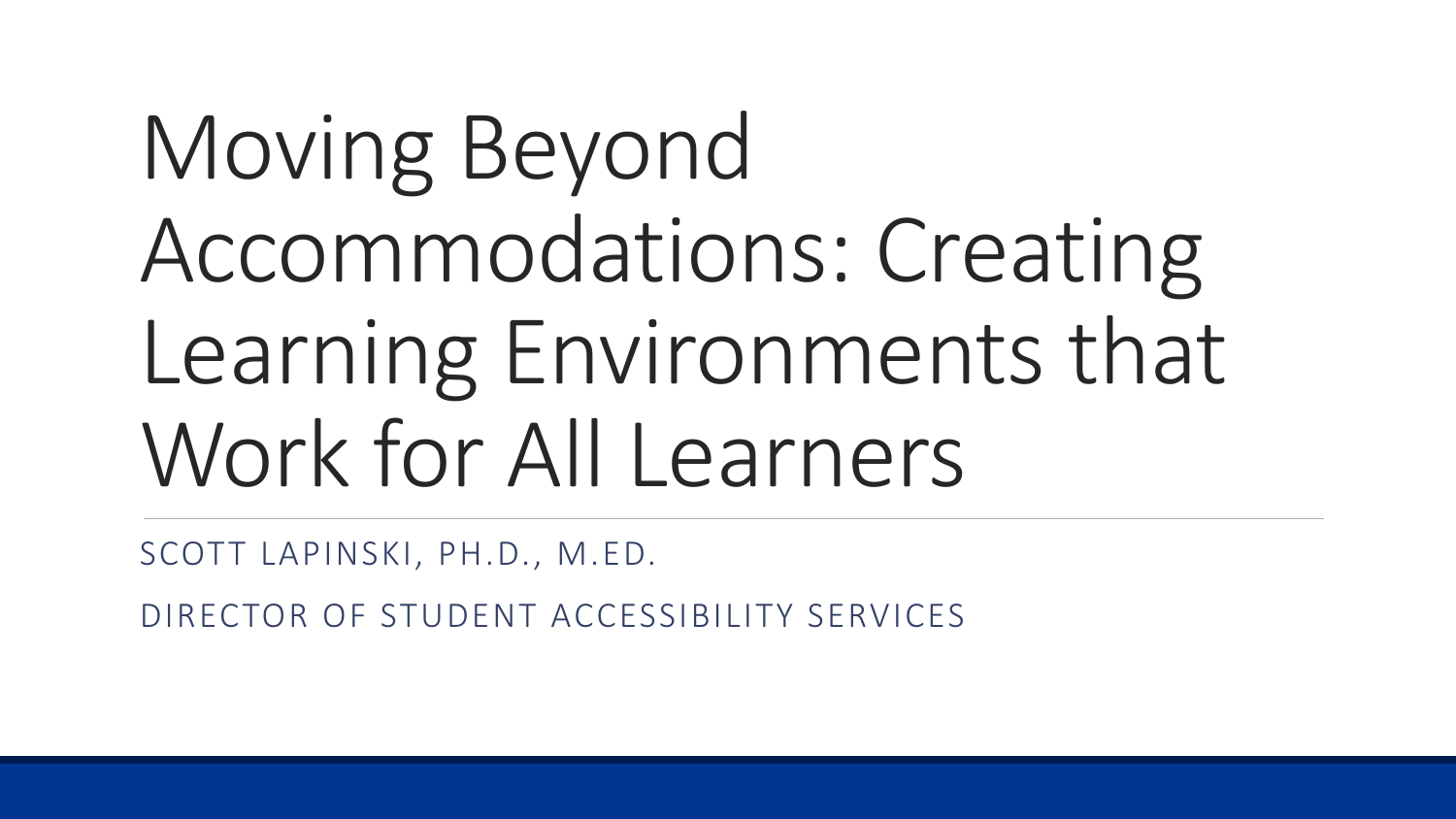## Moving Beyond Accommodations: Creating Learning Environments that Work for All Learners

SCOTT LAPINSKI, PH.D., M.ED.

DIRECTOR OF STUDENT ACCESSIBILITY SERVICES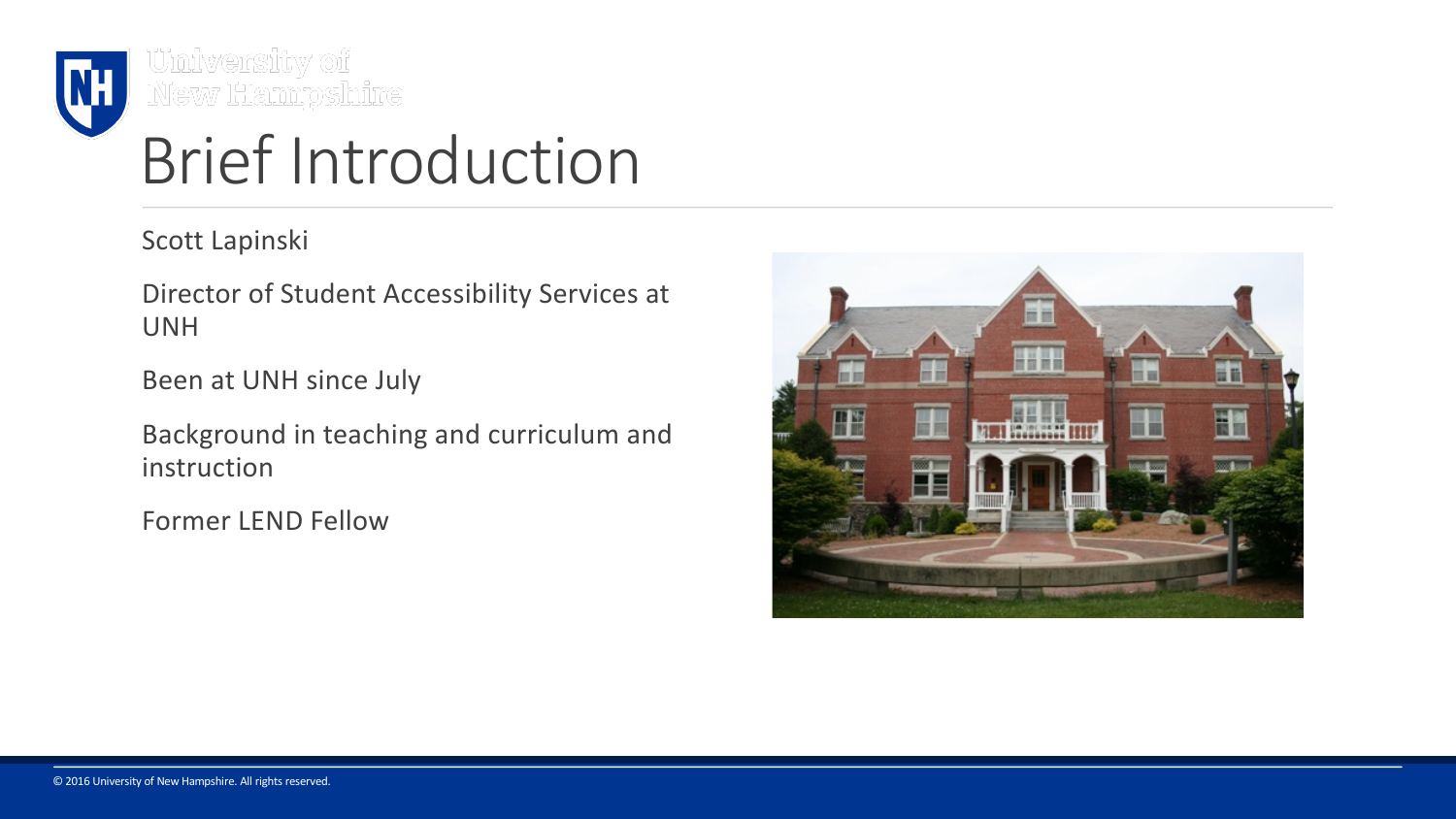

University of<br>New Hampshire

## Brief Introduction

Scott Lapinski

Director of Student Accessibility Services at UNH

Been at UNH since July

Background in teaching and curriculum and instruction

Former LEND Fellow

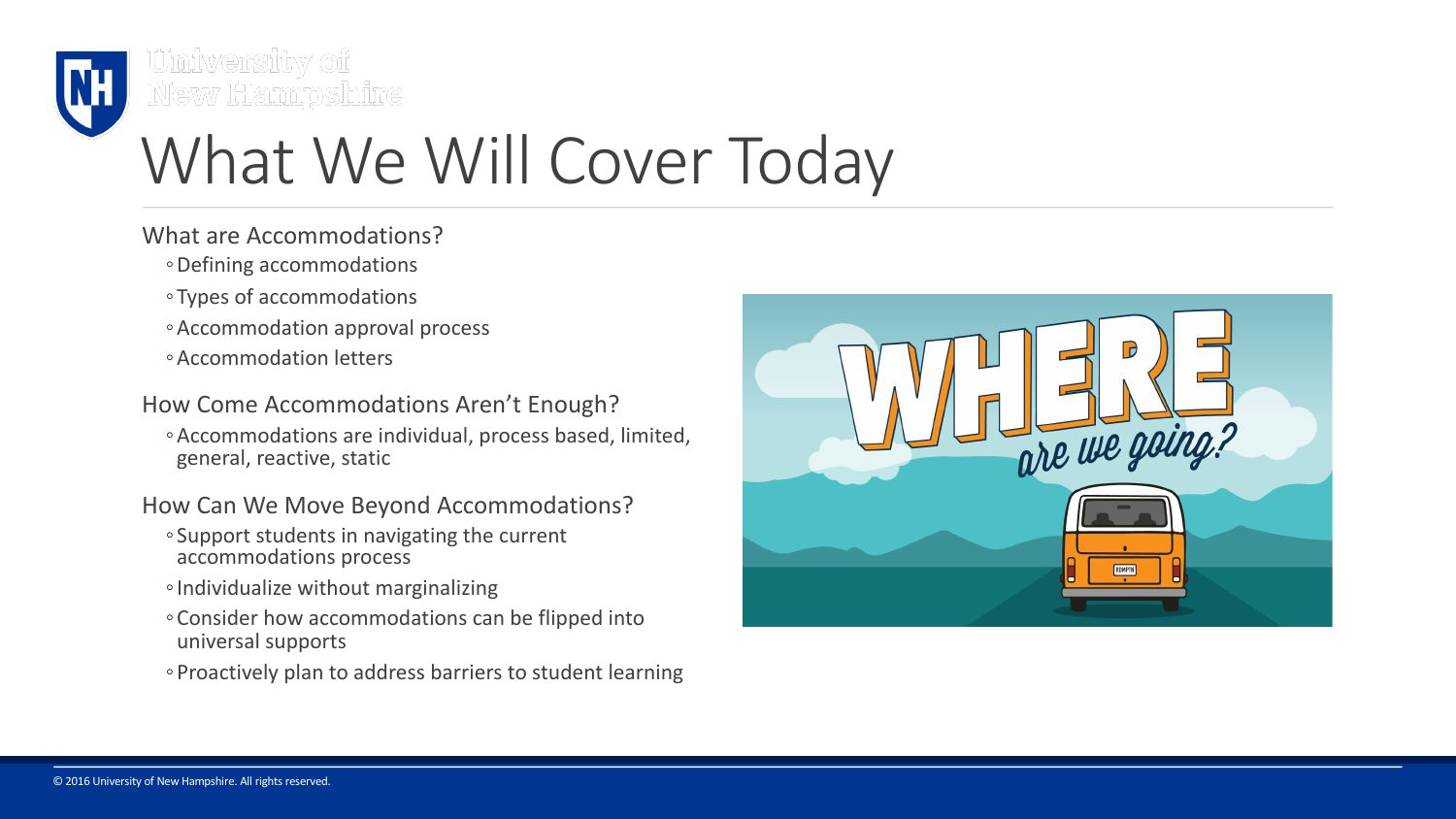

<u>University of</u> New Hampshire

## What We Will Cover Today

- What are Accommodations?
	- ◦Defining accommodations
	- Types of accommodations
	- ◦Accommodation approval process
	- ◦Accommodation letters

How Come Accommodations Aren't Enough?

◦Accommodations are individual, process based, limited, general, reactive, static

How Can We Move Beyond Accommodations?

- Support students in navigating the current accommodations process
- ◦Individualize without marginalizing
- ◦Consider how accommodations can be flipped into universal supports
- ◦Proactively plan to address barriers to student learning

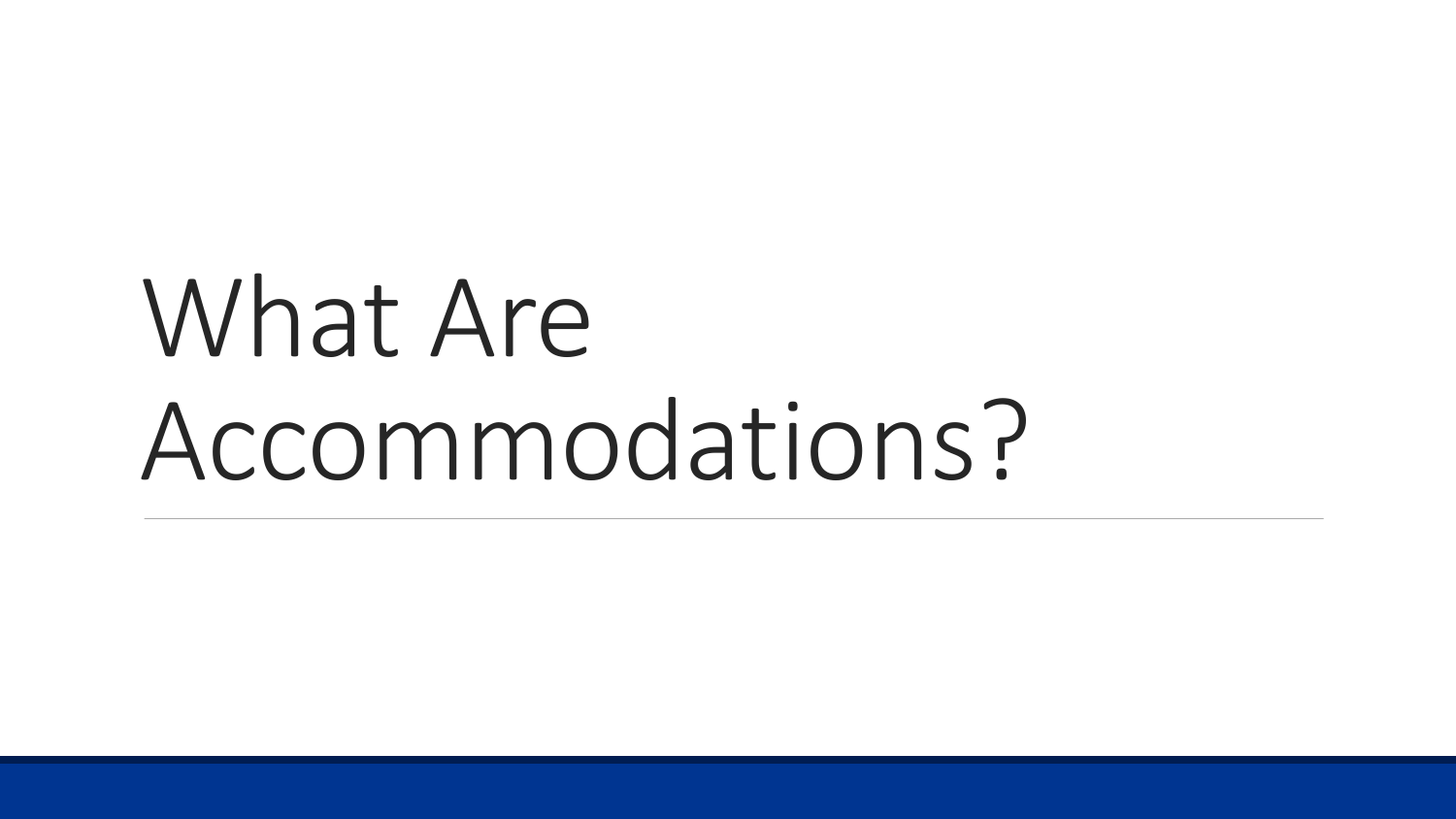# What Are Accommodations?

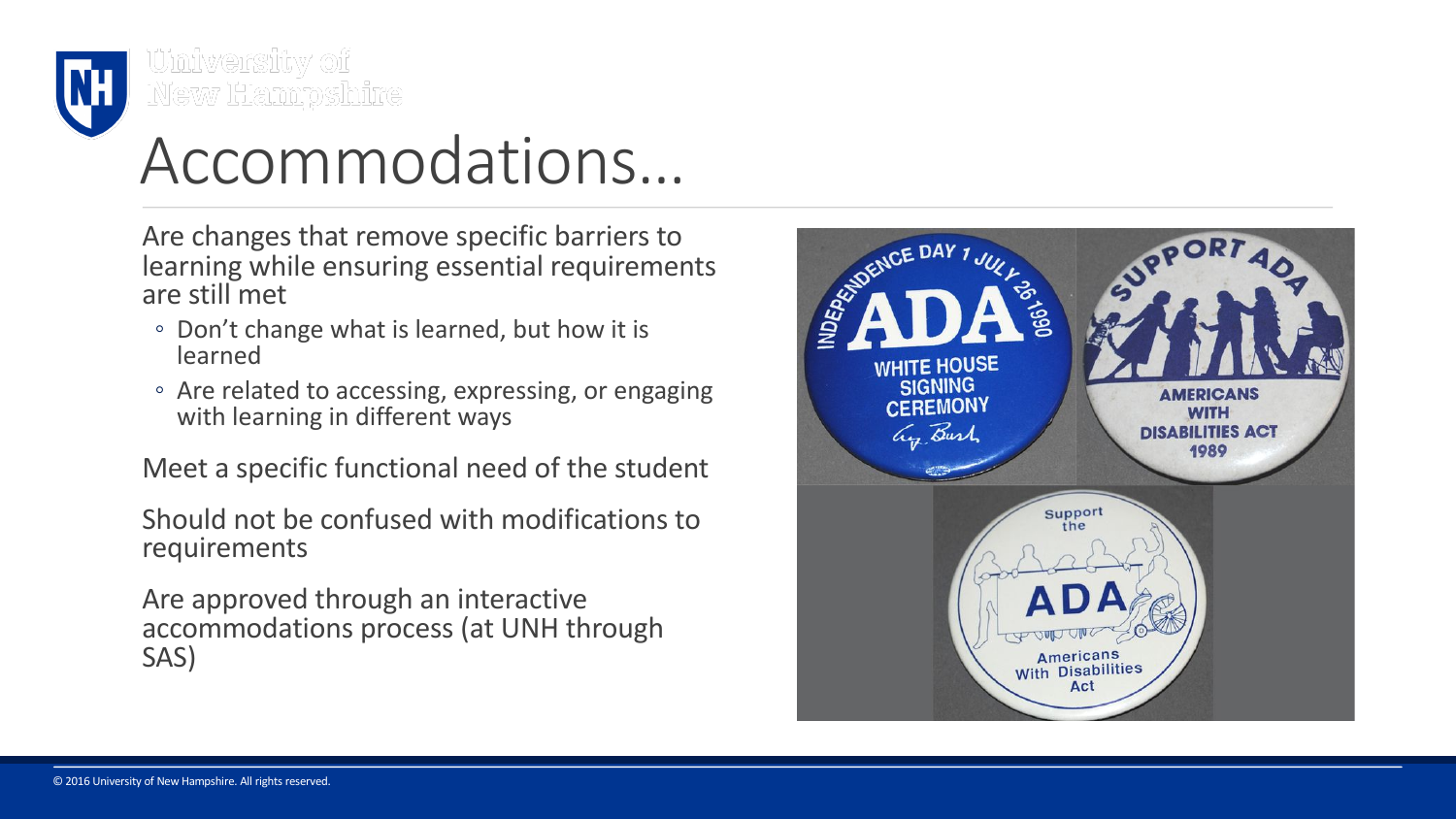

<u>University of</u> New Hampshire

## Accommodations…

Are changes that remove specific barriers to learning while ensuring essential requirements are still met

- Don't change what is learned, but how it is learned
- Are related to accessing, expressing, or engaging with learning in different ways

Meet a specific functional need of the student

Should not be confused with modifications to requirements

Are approved through an interactive accommodations process (at UNH through SAS)